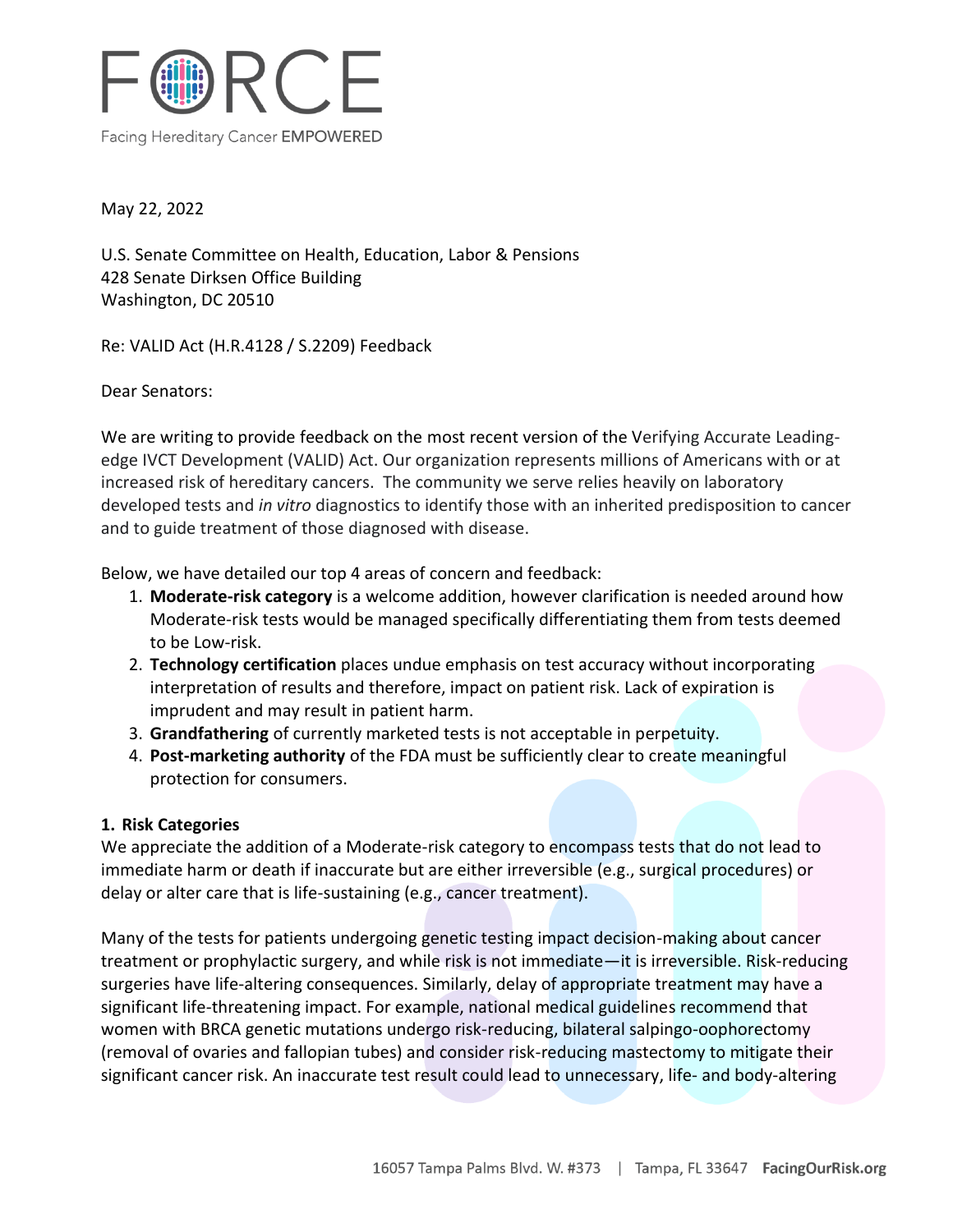

May 22, 2022

U.S. Senate Committee on Health, Education, Labor & Pensions 428 Senate Dirksen Office Building Washington, DC 20510

Re: VALID Act (H.R.4128 / S.2209) Feedback

Dear Senators:

We are writing to provide feedback on the most recent version of the Verifying Accurate Leadingedge IVCT Development (VALID) Act. Our organization represents millions of Americans with or at increased risk of hereditary cancers. The community we serve relies heavily on laboratory developed tests and *in vitro* diagnostics to identify those with an inherited predisposition to cancer and to guide treatment of those diagnosed with disease.

Below, we have detailed our top 4 areas of concern and feedback:

- 1. **Moderate-risk category** is a welcome addition, however clarification is needed around how Moderate-risk tests would be managed specifically differentiating them from tests deemed to be Low-risk.
- 2. **Technology certification** places undue emphasis on test accuracy without incorporating interpretation of results and therefore, impact on patient risk. Lack of expiration is imprudent and may result in patient harm.
- 3. **Grandfathering** of currently marketed tests is not acceptable in perpetuity.
- 4. **Post-marketing authority** of the FDA must be sufficiently clear to create meaningful protection for consumers.

# **1. Risk Categories**

We appreciate the addition of a Moderate-risk category to encompass tests that do not lead to immediate harm or death if inaccurate but are either irreversible (e.g., surgical procedures) or delay or alter care that is life-sustaining (e.g., cancer treatment).

Many of the tests for patients undergoing genetic testing impact decision-making about cancer treatment or prophylactic surgery, and while risk is not immediate—it is irreversible. Risk-reducing surgeries have life-altering consequences. Similarly, delay of appropriate treatment may have a significant life-threatening impact. For example, national medical guidelines recommend that women with BRCA genetic mutations undergo risk-reducing, bilateral salpingo-oophorectomy (removal of ovaries and fallopian tubes) and consider risk-reducing mastectomy to mitigate their significant cancer risk. An inaccurate test result could lead to unnecessary, life- and body-altering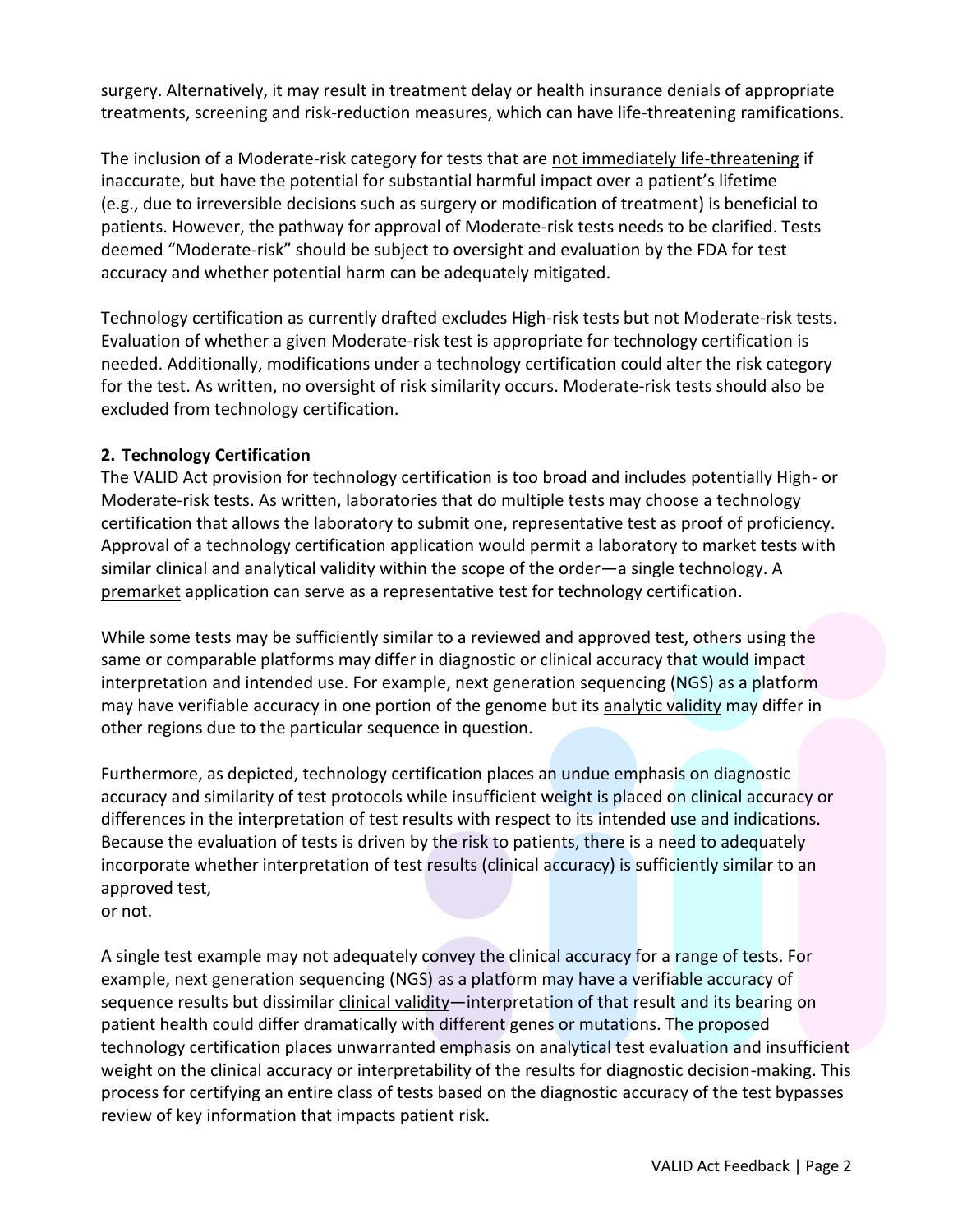surgery. Alternatively, it may result in treatment delay or health insurance denials of appropriate treatments, screening and risk-reduction measures, which can have life-threatening ramifications.

The inclusion of a Moderate-risk category for tests that are not immediately life-threatening if inaccurate, but have the potential for substantial harmful impact over a patient's lifetime (e.g., due to irreversible decisions such as surgery or modification of treatment) is beneficial to patients. However, the pathway for approval of Moderate-risk tests needs to be clarified. Tests deemed "Moderate-risk" should be subject to oversight and evaluation by the FDA for test accuracy and whether potential harm can be adequately mitigated.

Technology certification as currently drafted excludes High-risk tests but not Moderate-risk tests. Evaluation of whether a given Moderate-risk test is appropriate for technology certification is needed. Additionally, modifications under a technology certification could alter the risk category for the test. As written, no oversight of risk similarity occurs. Moderate-risk tests should also be excluded from technology certification.

# **2. Technology Certification**

The VALID Act provision for technology certification is too broad and includes potentially High- or Moderate-risk tests. As written, laboratories that do multiple tests may choose a technology certification that allows the laboratory to submit one, representative test as proof of proficiency. Approval of a technology certification application would permit a laboratory to market tests with similar clinical and analytical validity within the scope of the order—a single technology. A premarket application can serve as a representative test for technology certification.

While some tests may be sufficiently similar to a reviewed and approved test, others using the same or comparable platforms may differ in diagnostic or clinical accuracy that would impact interpretation and intended use. For example, next generation sequencing (NGS) as a platform may have verifiable accuracy in one portion of the genome but its analytic validity may differ in other regions due to the particular sequence in question.

Furthermore, as depicted, technology certification places an undue emphasis on diagnostic accuracy and similarity of test protocols while insufficient weight is placed on clinical accuracy or differences in the interpretation of test results with respect to its intended use and indications. Because the evaluation of tests is driven by the risk to patients, there is a need to adequately incorporate whether interpretation of test results (clinical accuracy) is sufficiently similar to an approved test,

or not.

A single test example may not adequately convey the clinical accuracy for a range of tests. For example, next generation sequencing (NGS) as a platform may have a verifiable accuracy of sequence results but dissimilar clinical validity—interpretation of that result and its bearing on patient health could differ dramatically with different genes or mutations. The proposed technology certification places unwarranted emphasis on analytical test evaluation and insufficient weight on the clinical accuracy or interpretability of the results for diagnostic decision-making. This process for certifying an entire class of tests based on the diagnostic accuracy of the test bypasses review of key information that impacts patient risk.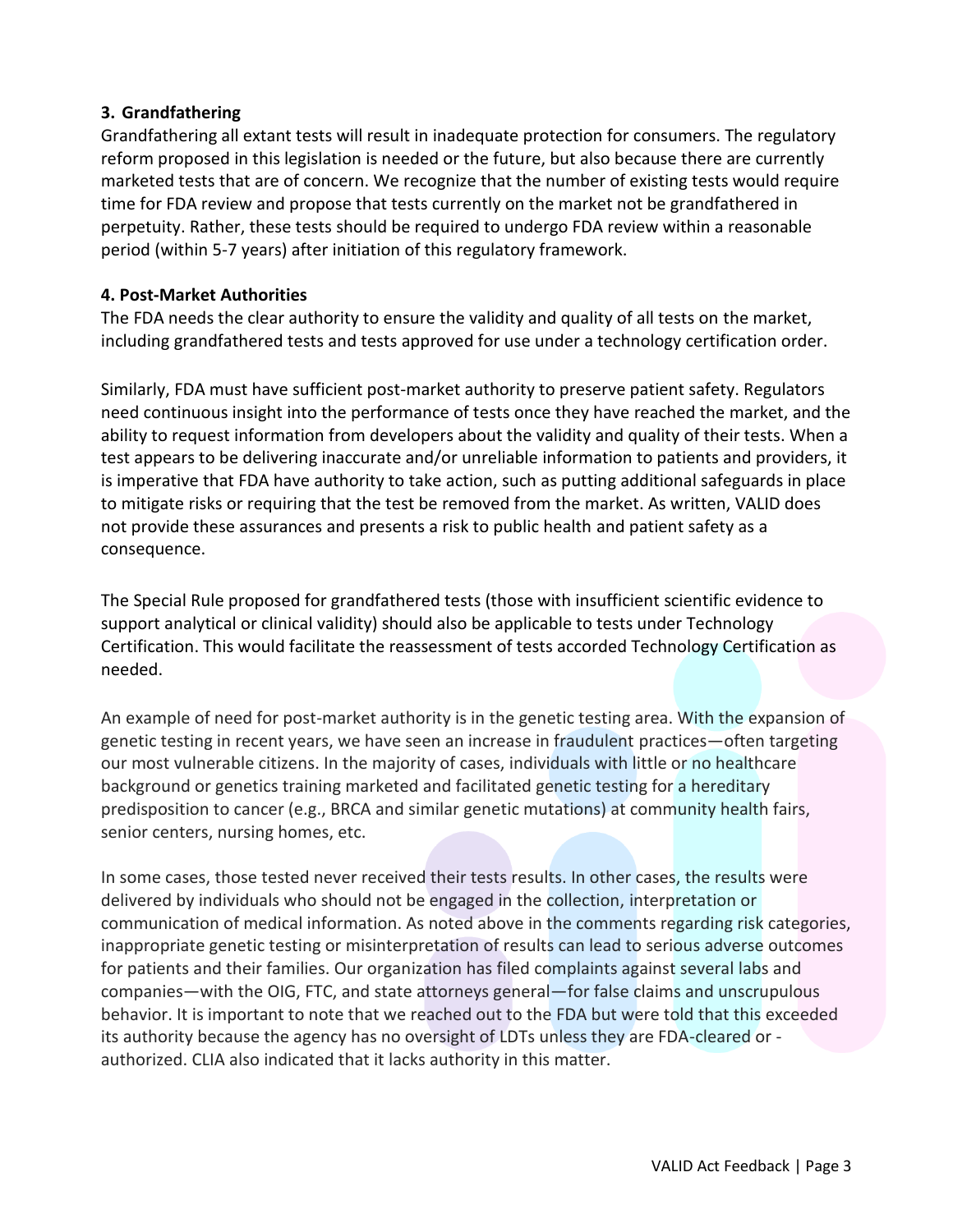## **3. Grandfathering**

Grandfathering all extant tests will result in inadequate protection for consumers. The regulatory reform proposed in this legislation is needed or the future, but also because there are currently marketed tests that are of concern. We recognize that the number of existing tests would require time for FDA review and propose that tests currently on the market not be grandfathered in perpetuity. Rather, these tests should be required to undergo FDA review within a reasonable period (within 5-7 years) after initiation of this regulatory framework.

### **4. Post-Market Authorities**

The FDA needs the clear authority to ensure the validity and quality of all tests on the market, including grandfathered tests and tests approved for use under a technology certification order.

Similarly, FDA must have sufficient post-market authority to preserve patient safety. Regulators need continuous insight into the performance of tests once they have reached the market, and the ability to request information from developers about the validity and quality of their tests. When a test appears to be delivering inaccurate and/or unreliable information to patients and providers, it is imperative that FDA have authority to take action, such as putting additional safeguards in place to mitigate risks or requiring that the test be removed from the market. As written, VALID does not provide these assurances and presents a risk to public health and patient safety as a consequence.

The Special Rule proposed for grandfathered tests (those with insufficient scientific evidence to support analytical or clinical validity) should also be applicable to tests under Technology Certification. This would facilitate the reassessment of tests accorded Technology Certification as needed.

An example of need for post-market authority is in the genetic testing area. With the expansion of genetic testing in recent years, we have seen an increase in fraudulent practices—often targeting our most vulnerable citizens. In the majority of cases, individuals with little or no healthcare background or genetics training marketed and facilitated genetic testing for a hereditary predisposition to cancer (e.g., BRCA and similar genetic mutations) at community health fairs, senior centers, nursing homes, etc.

In some cases, those tested never received their tests results. In other cases, the results were delivered by individuals who should not be engaged in the collection, interpretation or communication of medical information. As noted above in the comments regarding risk categories, inappropriate genetic testing or misinterpretation of results can lead to serious adverse outcomes for patients and their families. Our organization has filed complaints against several labs and companies—with the OIG, FTC, and state attorneys general—for false claims and unscrupulous behavior. It is important to note that we reached out to the FDA but were told that this exceeded its authority because the agency has no oversight of LDTs unless they are FDA-cleared or authorized. CLIA also indicated that it lacks authority in this matter.